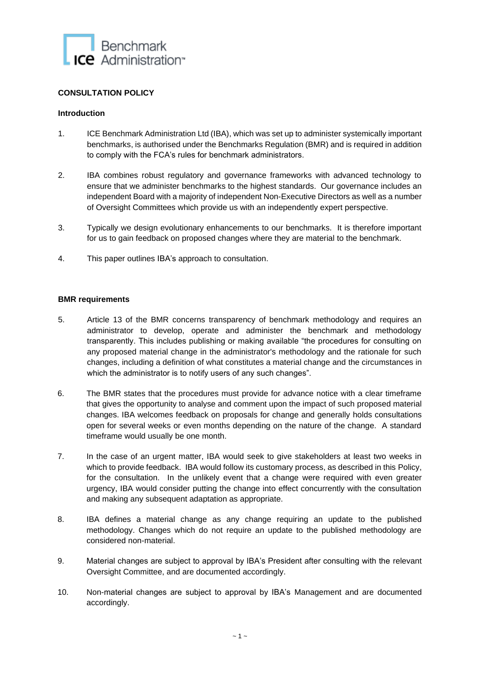

# **CONSULTATION POLICY**

## **Introduction**

- 1. ICE Benchmark Administration Ltd (IBA), which was set up to administer systemically important benchmarks, is authorised under the Benchmarks Regulation (BMR) and is required in addition to comply with the FCA's rules for benchmark administrators.
- 2. IBA combines robust regulatory and governance frameworks with advanced technology to ensure that we administer benchmarks to the highest standards. Our governance includes an independent Board with a majority of independent Non-Executive Directors as well as a number of Oversight Committees which provide us with an independently expert perspective.
- 3. Typically we design evolutionary enhancements to our benchmarks. It is therefore important for us to gain feedback on proposed changes where they are material to the benchmark.
- 4. This paper outlines IBA's approach to consultation.

## **BMR requirements**

- 5. Article 13 of the BMR concerns transparency of benchmark methodology and requires an administrator to develop, operate and administer the benchmark and methodology transparently. This includes publishing or making available "the procedures for consulting on any proposed material change in the administrator's methodology and the rationale for such changes, including a definition of what constitutes a material change and the circumstances in which the administrator is to notify users of any such changes".
- 6. The BMR states that the procedures must provide for advance notice with a clear timeframe that gives the opportunity to analyse and comment upon the impact of such proposed material changes. IBA welcomes feedback on proposals for change and generally holds consultations open for several weeks or even months depending on the nature of the change. A standard timeframe would usually be one month.
- 7. In the case of an urgent matter, IBA would seek to give stakeholders at least two weeks in which to provide feedback. IBA would follow its customary process, as described in this Policy, for the consultation. In the unlikely event that a change were required with even greater urgency, IBA would consider putting the change into effect concurrently with the consultation and making any subsequent adaptation as appropriate.
- 8. IBA defines a material change as any change requiring an update to the published methodology. Changes which do not require an update to the published methodology are considered non-material.
- 9. Material changes are subject to approval by IBA's President after consulting with the relevant Oversight Committee, and are documented accordingly.
- 10. Non-material changes are subject to approval by IBA's Management and are documented accordingly.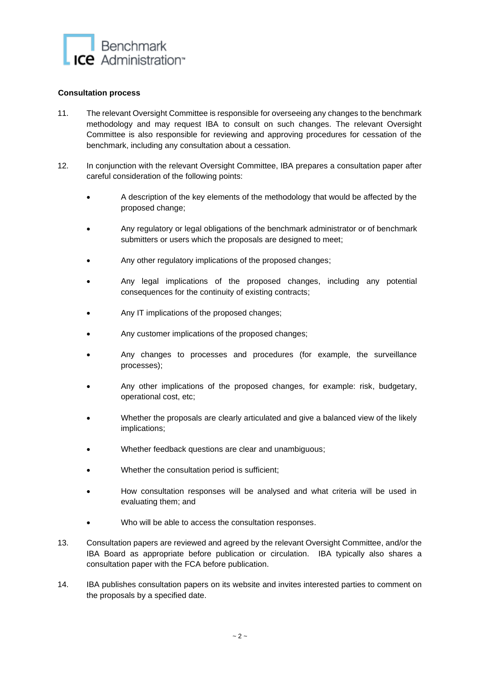

## **Consultation process**

- 11. The relevant Oversight Committee is responsible for overseeing any changes to the benchmark methodology and may request IBA to consult on such changes. The relevant Oversight Committee is also responsible for reviewing and approving procedures for cessation of the benchmark, including any consultation about a cessation.
- 12. In conjunction with the relevant Oversight Committee, IBA prepares a consultation paper after careful consideration of the following points:
	- A description of the key elements of the methodology that would be affected by the proposed change;
	- Any regulatory or legal obligations of the benchmark administrator or of benchmark submitters or users which the proposals are designed to meet;
	- Any other regulatory implications of the proposed changes;
	- Any legal implications of the proposed changes, including any potential consequences for the continuity of existing contracts;
	- Any IT implications of the proposed changes;
	- Any customer implications of the proposed changes;
	- Any changes to processes and procedures (for example, the surveillance processes);
	- Any other implications of the proposed changes, for example: risk, budgetary, operational cost, etc;
	- Whether the proposals are clearly articulated and give a balanced view of the likely implications;
	- Whether feedback questions are clear and unambiguous;
	- Whether the consultation period is sufficient;
	- How consultation responses will be analysed and what criteria will be used in evaluating them; and
	- Who will be able to access the consultation responses.
- 13. Consultation papers are reviewed and agreed by the relevant Oversight Committee, and/or the IBA Board as appropriate before publication or circulation. IBA typically also shares a consultation paper with the FCA before publication.
- 14. IBA publishes consultation papers on its website and invites interested parties to comment on the proposals by a specified date.